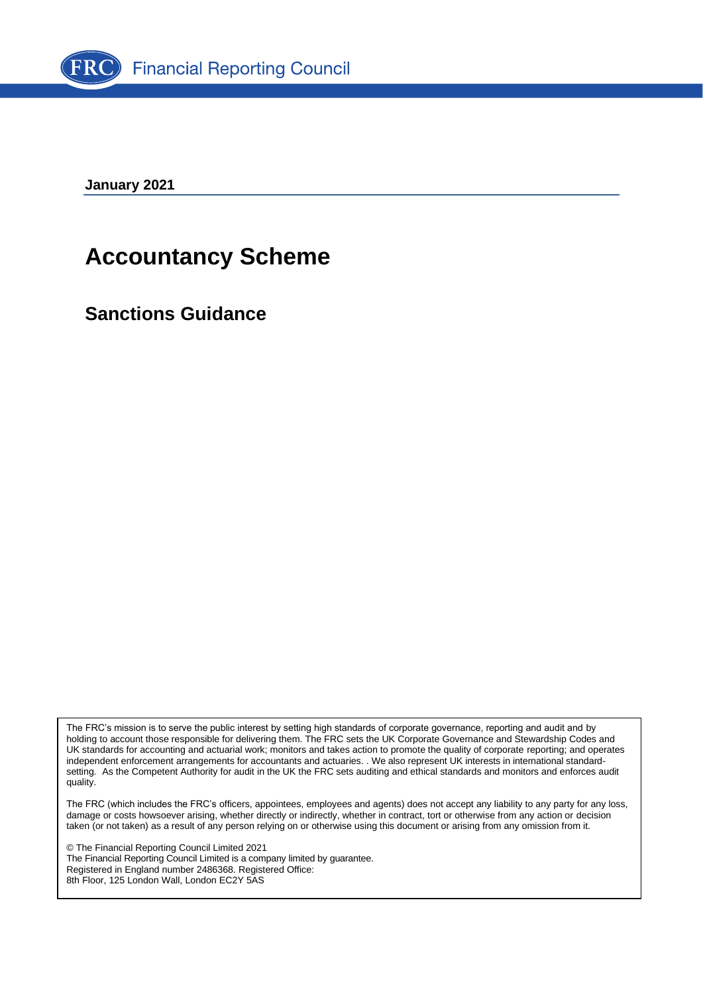

**January 2021**

# **Accountancy Scheme**

**Sanctions Guidance**

The FRC's mission is to serve the public interest by setting high standards of corporate governance, reporting and audit and by holding to account those responsible for delivering them. The FRC sets the UK Corporate Governance and Stewardship Codes and UK standards for accounting and actuarial work; monitors and takes action to promote the quality of corporate reporting; and operates independent enforcement arrangements for accountants and actuaries. . We also represent UK interests in international standardsetting. As the Competent Authority for audit in the UK the FRC sets auditing and ethical standards and monitors and enforces audit quality.

The FRC (which includes the FRC's officers, appointees, employees and agents) does not accept any liability to any party for any loss, damage or costs howsoever arising, whether directly or indirectly, whether in contract, tort or otherwise from any action or decision taken (or not taken) as a result of any person relying on or otherwise using this document or arising from any omission from it.

© The Financial Reporting Council Limited 2021 The Financial Reporting Council Limited is a company limited by guarantee. Registered in England number 2486368. Registered Office: 8th Floor, 125 London Wall, London EC2Y 5AS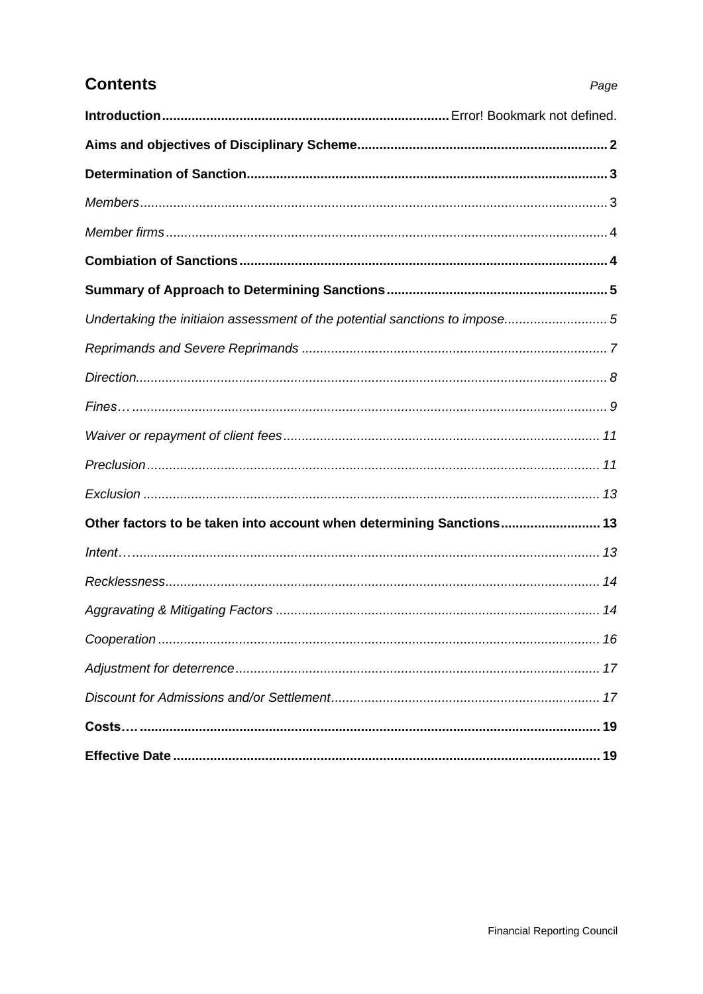| <b>Contents</b>                                                            | Page |
|----------------------------------------------------------------------------|------|
|                                                                            |      |
|                                                                            |      |
|                                                                            |      |
|                                                                            |      |
|                                                                            |      |
|                                                                            |      |
|                                                                            |      |
| Undertaking the initiaion assessment of the potential sanctions to impose5 |      |
|                                                                            |      |
|                                                                            |      |
|                                                                            |      |
|                                                                            |      |
|                                                                            |      |
|                                                                            |      |
| Other factors to be taken into account when determining Sanctions 13       |      |
|                                                                            |      |
|                                                                            |      |
|                                                                            |      |
|                                                                            |      |
|                                                                            |      |
|                                                                            |      |
|                                                                            |      |
|                                                                            |      |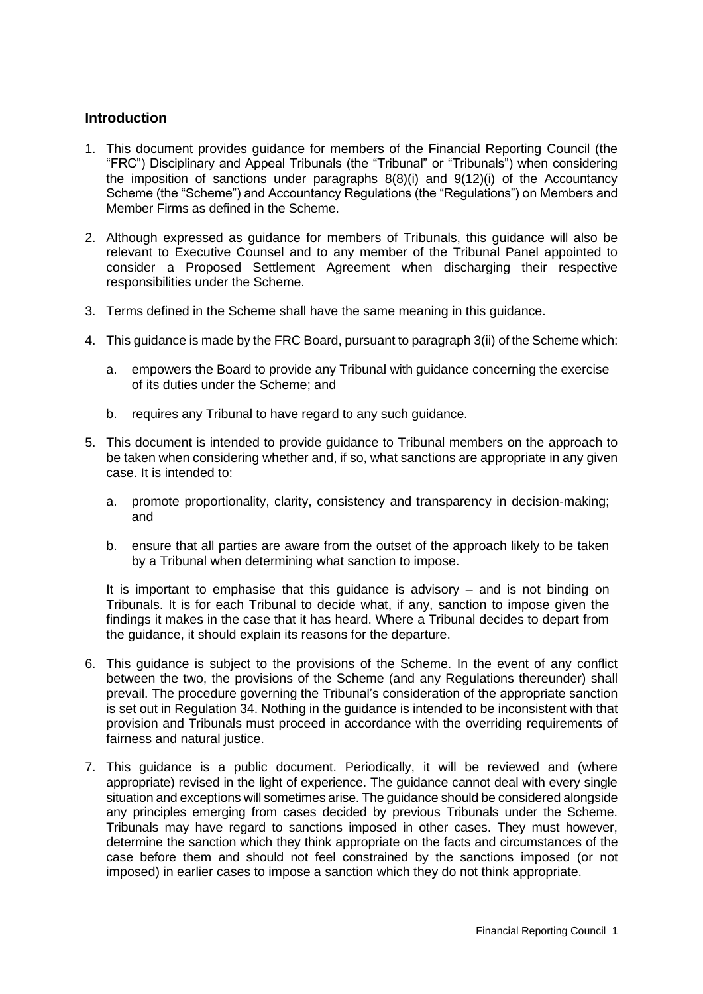## **Introduction**

- 1. This document provides guidance for members of the Financial Reporting Council (the "FRC") Disciplinary and Appeal Tribunals (the "Tribunal" or "Tribunals") when considering the imposition of sanctions under paragraphs 8(8)(i) and 9(12)(i) of the Accountancy Scheme (the "Scheme") and Accountancy Regulations (the "Regulations") on Members and Member Firms as defined in the Scheme.
- 2. Although expressed as guidance for members of Tribunals, this guidance will also be relevant to Executive Counsel and to any member of the Tribunal Panel appointed to consider a Proposed Settlement Agreement when discharging their respective responsibilities under the Scheme.
- 3. Terms defined in the Scheme shall have the same meaning in this guidance.
- 4. This guidance is made by the FRC Board, pursuant to paragraph 3(ii) of the Scheme which:
	- a. empowers the Board to provide any Tribunal with guidance concerning the exercise of its duties under the Scheme; and
	- b. requires any Tribunal to have regard to any such guidance.
- 5. This document is intended to provide guidance to Tribunal members on the approach to be taken when considering whether and, if so, what sanctions are appropriate in any given case. It is intended to:
	- a. promote proportionality, clarity, consistency and transparency in decision-making; and
	- b. ensure that all parties are aware from the outset of the approach likely to be taken by a Tribunal when determining what sanction to impose.

It is important to emphasise that this guidance is advisory – and is not binding on Tribunals. It is for each Tribunal to decide what, if any, sanction to impose given the findings it makes in the case that it has heard. Where a Tribunal decides to depart from the guidance, it should explain its reasons for the departure.

- 6. This guidance is subject to the provisions of the Scheme. In the event of any conflict between the two, the provisions of the Scheme (and any Regulations thereunder) shall prevail. The procedure governing the Tribunal's consideration of the appropriate sanction is set out in Regulation 34. Nothing in the guidance is intended to be inconsistent with that provision and Tribunals must proceed in accordance with the overriding requirements of fairness and natural justice.
- 7. This guidance is a public document. Periodically, it will be reviewed and (where appropriate) revised in the light of experience. The guidance cannot deal with every single situation and exceptions will sometimes arise. The guidance should be considered alongside any principles emerging from cases decided by previous Tribunals under the Scheme. Tribunals may have regard to sanctions imposed in other cases. They must however, determine the sanction which they think appropriate on the facts and circumstances of the case before them and should not feel constrained by the sanctions imposed (or not imposed) in earlier cases to impose a sanction which they do not think appropriate.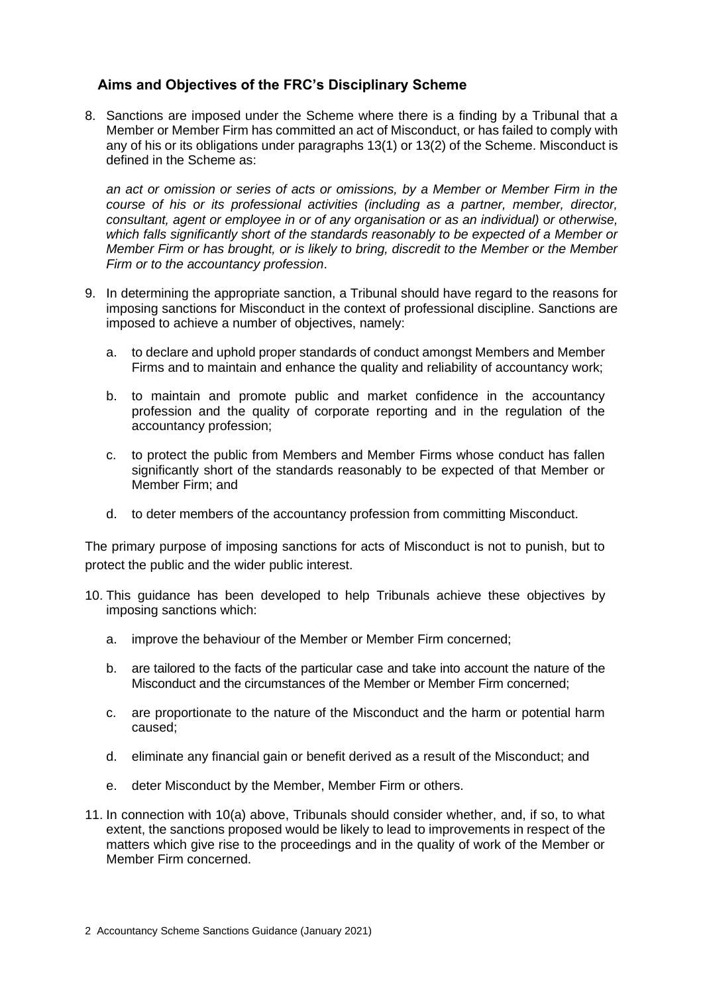# **Aims and Objectives of the FRC's Disciplinary Scheme**

8. Sanctions are imposed under the Scheme where there is a finding by a Tribunal that a Member or Member Firm has committed an act of Misconduct, or has failed to comply with any of his or its obligations under paragraphs 13(1) or 13(2) of the Scheme. Misconduct is defined in the Scheme as:

*an act or omission or series of acts or omissions, by a Member or Member Firm in the course of his or its professional activities (including as a partner, member, director, consultant, agent or employee in or of any organisation or as an individual) or otherwise, which falls significantly short of the standards reasonably to be expected of a Member or Member Firm or has brought, or is likely to bring, discredit to the Member or the Member Firm or to the accountancy profession*.

- 9. In determining the appropriate sanction, a Tribunal should have regard to the reasons for imposing sanctions for Misconduct in the context of professional discipline. Sanctions are imposed to achieve a number of objectives, namely:
	- a. to declare and uphold proper standards of conduct amongst Members and Member Firms and to maintain and enhance the quality and reliability of accountancy work;
	- b. to maintain and promote public and market confidence in the accountancy profession and the quality of corporate reporting and in the regulation of the accountancy profession;
	- c. to protect the public from Members and Member Firms whose conduct has fallen significantly short of the standards reasonably to be expected of that Member or Member Firm; and
	- d. to deter members of the accountancy profession from committing Misconduct.

The primary purpose of imposing sanctions for acts of Misconduct is not to punish, but to protect the public and the wider public interest.

- 10. This guidance has been developed to help Tribunals achieve these objectives by imposing sanctions which:
	- a. improve the behaviour of the Member or Member Firm concerned;
	- b. are tailored to the facts of the particular case and take into account the nature of the Misconduct and the circumstances of the Member or Member Firm concerned;
	- c. are proportionate to the nature of the Misconduct and the harm or potential harm caused;
	- d. eliminate any financial gain or benefit derived as a result of the Misconduct; and
	- e. deter Misconduct by the Member, Member Firm or others.
- 11. In connection with 10(a) above, Tribunals should consider whether, and, if so, to what extent, the sanctions proposed would be likely to lead to improvements in respect of the matters which give rise to the proceedings and in the quality of work of the Member or Member Firm concerned.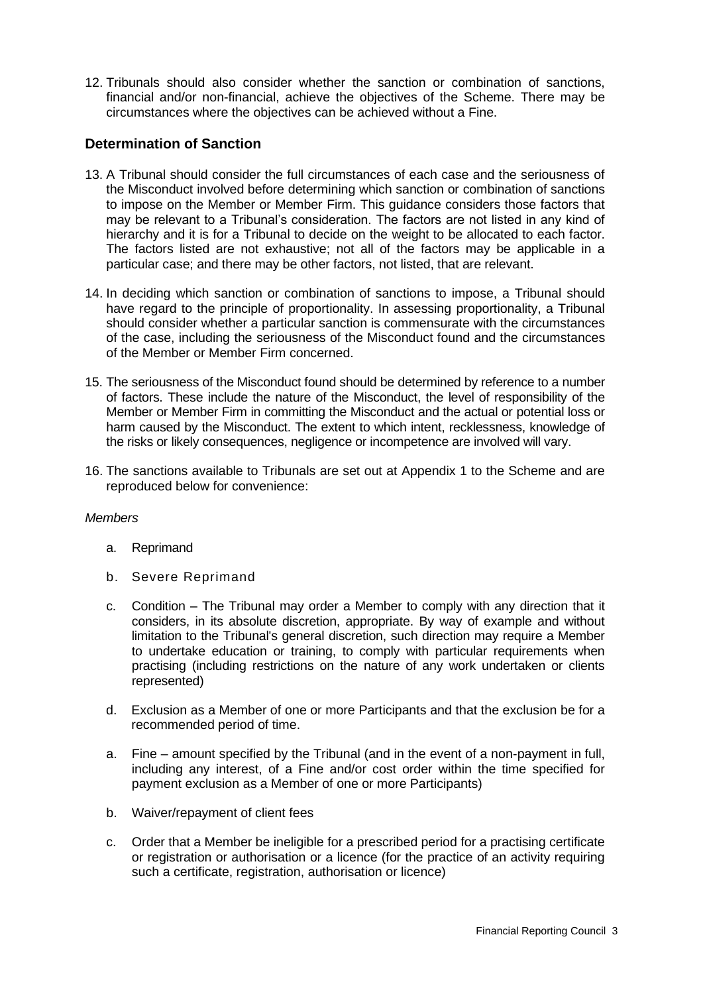12. Tribunals should also consider whether the sanction or combination of sanctions, financial and/or non-financial, achieve the objectives of the Scheme. There may be circumstances where the objectives can be achieved without a Fine.

# **Determination of Sanction**

- 13. A Tribunal should consider the full circumstances of each case and the seriousness of the Misconduct involved before determining which sanction or combination of sanctions to impose on the Member or Member Firm. This guidance considers those factors that may be relevant to a Tribunal's consideration. The factors are not listed in any kind of hierarchy and it is for a Tribunal to decide on the weight to be allocated to each factor. The factors listed are not exhaustive; not all of the factors may be applicable in a particular case; and there may be other factors, not listed, that are relevant.
- 14. In deciding which sanction or combination of sanctions to impose, a Tribunal should have regard to the principle of proportionality. In assessing proportionality, a Tribunal should consider whether a particular sanction is commensurate with the circumstances of the case, including the seriousness of the Misconduct found and the circumstances of the Member or Member Firm concerned.
- 15. The seriousness of the Misconduct found should be determined by reference to a number of factors. These include the nature of the Misconduct, the level of responsibility of the Member or Member Firm in committing the Misconduct and the actual or potential loss or harm caused by the Misconduct. The extent to which intent, recklessness, knowledge of the risks or likely consequences, negligence or incompetence are involved will vary.
- 16. The sanctions available to Tribunals are set out at Appendix 1 to the Scheme and are reproduced below for convenience:

## *Members*

- a. Reprimand
- b. Severe Reprimand
- c. Condition The Tribunal may order a Member to comply with any direction that it considers, in its absolute discretion, appropriate. By way of example and without limitation to the Tribunal's general discretion, such direction may require a Member to undertake education or training, to comply with particular requirements when practising (including restrictions on the nature of any work undertaken or clients represented)
- d. Exclusion as a Member of one or more Participants and that the exclusion be for a recommended period of time.
- a. Fine amount specified by the Tribunal (and in the event of a non-payment in full, including any interest, of a Fine and/or cost order within the time specified for payment exclusion as a Member of one or more Participants)
- b. Waiver/repayment of client fees
- c. Order that a Member be ineligible for a prescribed period for a practising certificate or registration or authorisation or a licence (for the practice of an activity requiring such a certificate, registration, authorisation or licence)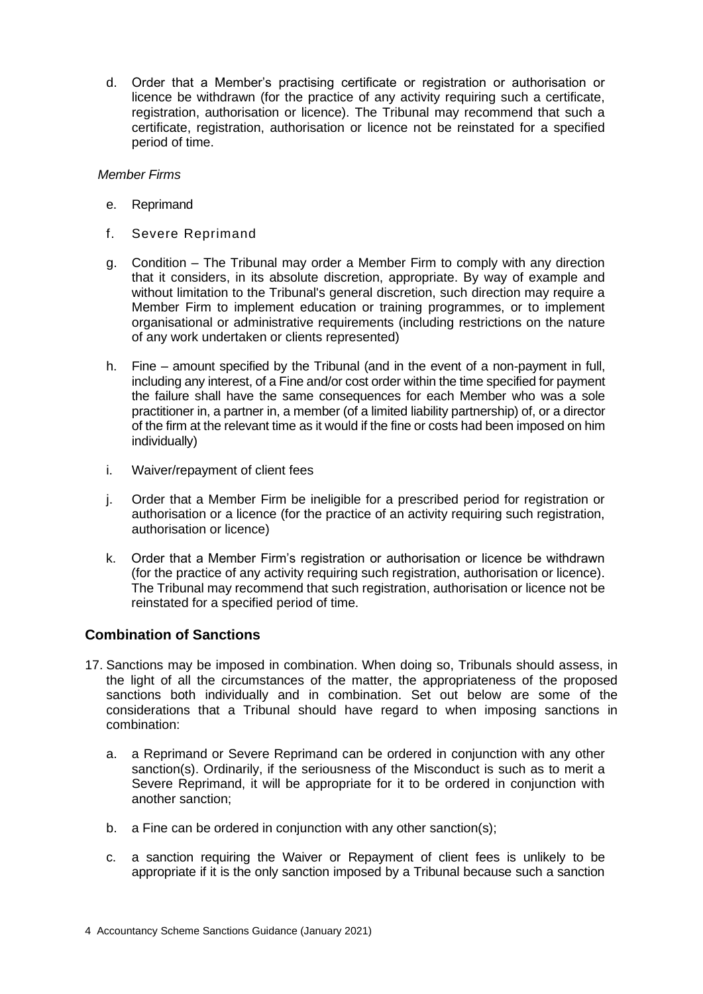d. Order that a Member's practising certificate or registration or authorisation or licence be withdrawn (for the practice of any activity requiring such a certificate, registration, authorisation or licence). The Tribunal may recommend that such a certificate, registration, authorisation or licence not be reinstated for a specified period of time.

#### *Member Firms*

- e. Reprimand
- f. Severe Reprimand
- g. Condition The Tribunal may order a Member Firm to comply with any direction that it considers, in its absolute discretion, appropriate. By way of example and without limitation to the Tribunal's general discretion, such direction may require a Member Firm to implement education or training programmes, or to implement organisational or administrative requirements (including restrictions on the nature of any work undertaken or clients represented)
- h. Fine amount specified by the Tribunal (and in the event of a non-payment in full, including any interest, of a Fine and/or cost order within the time specified for payment the failure shall have the same consequences for each Member who was a sole practitioner in, a partner in, a member (of a limited liability partnership) of, or a director of the firm at the relevant time as it would if the fine or costs had been imposed on him individually)
- i. Waiver/repayment of client fees
- j. Order that a Member Firm be ineligible for a prescribed period for registration or authorisation or a licence (for the practice of an activity requiring such registration, authorisation or licence)
- k. Order that a Member Firm's registration or authorisation or licence be withdrawn (for the practice of any activity requiring such registration, authorisation or licence). The Tribunal may recommend that such registration, authorisation or licence not be reinstated for a specified period of time.

# **Combination of Sanctions**

- 17. Sanctions may be imposed in combination. When doing so, Tribunals should assess, in the light of all the circumstances of the matter, the appropriateness of the proposed sanctions both individually and in combination. Set out below are some of the considerations that a Tribunal should have regard to when imposing sanctions in combination:
	- a. a Reprimand or Severe Reprimand can be ordered in conjunction with any other sanction(s). Ordinarily, if the seriousness of the Misconduct is such as to merit a Severe Reprimand, it will be appropriate for it to be ordered in conjunction with another sanction;
	- b. a Fine can be ordered in conjunction with any other sanction(s);
	- c. a sanction requiring the Waiver or Repayment of client fees is unlikely to be appropriate if it is the only sanction imposed by a Tribunal because such a sanction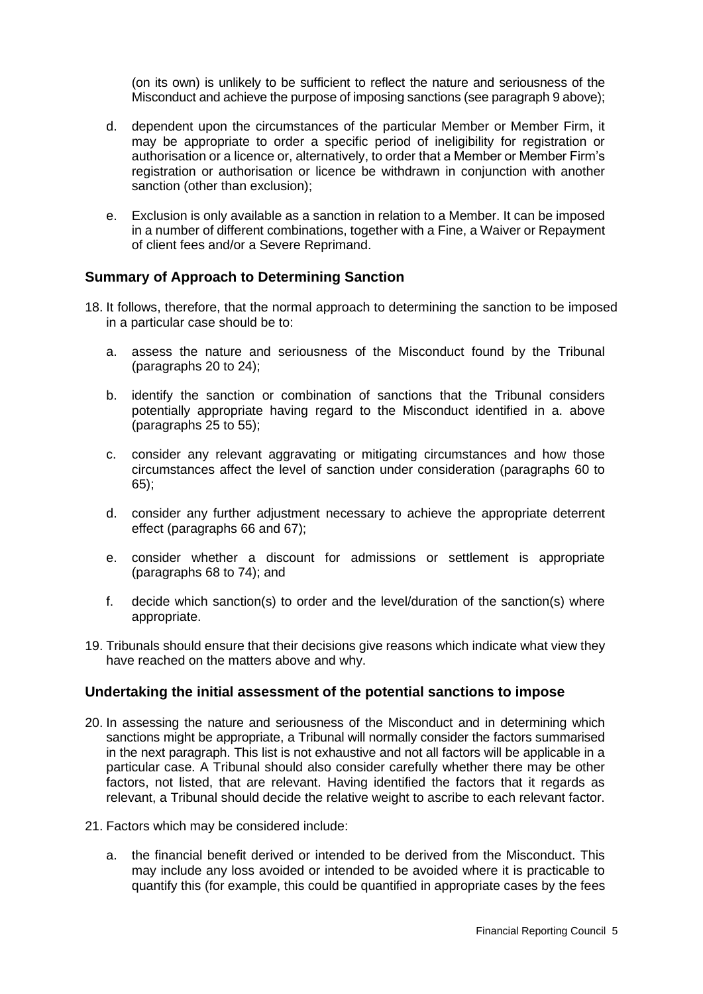(on its own) is unlikely to be sufficient to reflect the nature and seriousness of the Misconduct and achieve the purpose of imposing sanctions (see paragraph 9 above);

- d. dependent upon the circumstances of the particular Member or Member Firm, it may be appropriate to order a specific period of ineligibility for registration or authorisation or a licence or, alternatively, to order that a Member or Member Firm's registration or authorisation or licence be withdrawn in conjunction with another sanction (other than exclusion);
- e. Exclusion is only available as a sanction in relation to a Member. It can be imposed in a number of different combinations, together with a Fine, a Waiver or Repayment of client fees and/or a Severe Reprimand.

## **Summary of Approach to Determining Sanction**

- 18. It follows, therefore, that the normal approach to determining the sanction to be imposed in a particular case should be to:
	- a. assess the nature and seriousness of the Misconduct found by the Tribunal (paragraphs 20 to 24);
	- b. identify the sanction or combination of sanctions that the Tribunal considers potentially appropriate having regard to the Misconduct identified in a. above (paragraphs 25 to 55);
	- c. consider any relevant aggravating or mitigating circumstances and how those circumstances affect the level of sanction under consideration (paragraphs 60 to 65);
	- d. consider any further adjustment necessary to achieve the appropriate deterrent effect (paragraphs 66 and 67);
	- e. consider whether a discount for admissions or settlement is appropriate (paragraphs 68 to 74); and
	- f. decide which sanction(s) to order and the level/duration of the sanction(s) where appropriate.
- 19. Tribunals should ensure that their decisions give reasons which indicate what view they have reached on the matters above and why.

## **Undertaking the initial assessment of the potential sanctions to impose**

- 20. In assessing the nature and seriousness of the Misconduct and in determining which sanctions might be appropriate, a Tribunal will normally consider the factors summarised in the next paragraph. This list is not exhaustive and not all factors will be applicable in a particular case. A Tribunal should also consider carefully whether there may be other factors, not listed, that are relevant. Having identified the factors that it regards as relevant, a Tribunal should decide the relative weight to ascribe to each relevant factor.
- 21. Factors which may be considered include:
	- a. the financial benefit derived or intended to be derived from the Misconduct. This may include any loss avoided or intended to be avoided where it is practicable to quantify this (for example, this could be quantified in appropriate cases by the fees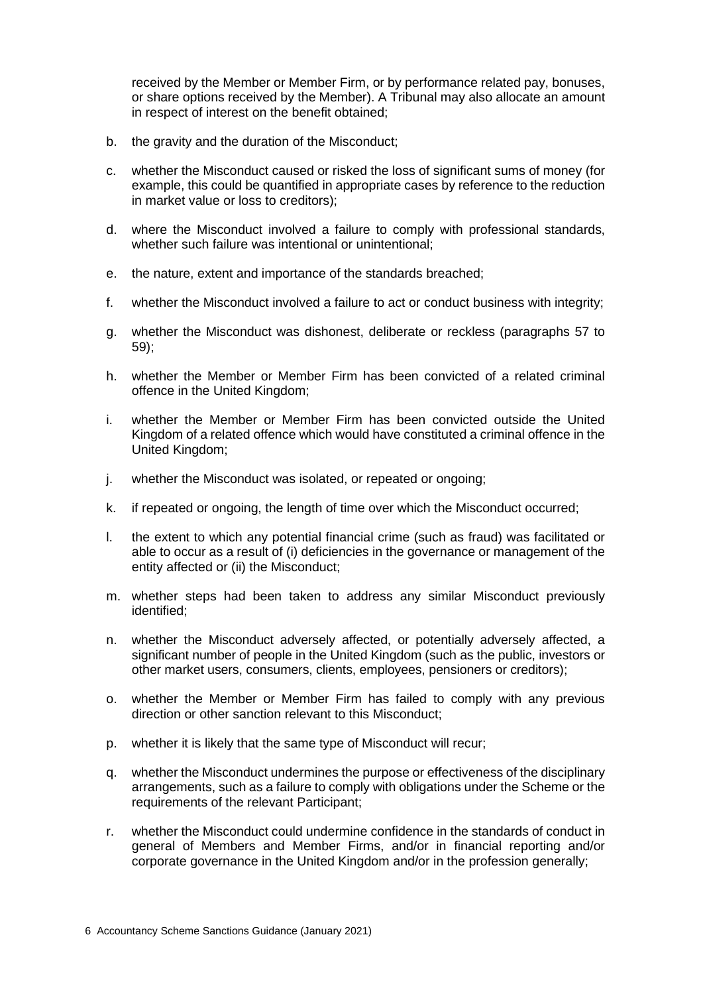received by the Member or Member Firm, or by performance related pay, bonuses, or share options received by the Member). A Tribunal may also allocate an amount in respect of interest on the benefit obtained;

- b. the gravity and the duration of the Misconduct;
- c. whether the Misconduct caused or risked the loss of significant sums of money (for example, this could be quantified in appropriate cases by reference to the reduction in market value or loss to creditors);
- d. where the Misconduct involved a failure to comply with professional standards, whether such failure was intentional or unintentional;
- e. the nature, extent and importance of the standards breached;
- f. whether the Misconduct involved a failure to act or conduct business with integrity;
- g. whether the Misconduct was dishonest, deliberate or reckless (paragraphs 57 to 59);
- h. whether the Member or Member Firm has been convicted of a related criminal offence in the United Kingdom;
- i. whether the Member or Member Firm has been convicted outside the United Kingdom of a related offence which would have constituted a criminal offence in the United Kingdom;
- j. whether the Misconduct was isolated, or repeated or ongoing;
- k. if repeated or ongoing, the length of time over which the Misconduct occurred;
- l. the extent to which any potential financial crime (such as fraud) was facilitated or able to occur as a result of (i) deficiencies in the governance or management of the entity affected or (ii) the Misconduct;
- m. whether steps had been taken to address any similar Misconduct previously identified;
- n. whether the Misconduct adversely affected, or potentially adversely affected, a significant number of people in the United Kingdom (such as the public, investors or other market users, consumers, clients, employees, pensioners or creditors);
- o. whether the Member or Member Firm has failed to comply with any previous direction or other sanction relevant to this Misconduct;
- p. whether it is likely that the same type of Misconduct will recur;
- q. whether the Misconduct undermines the purpose or effectiveness of the disciplinary arrangements, such as a failure to comply with obligations under the Scheme or the requirements of the relevant Participant;
- r. whether the Misconduct could undermine confidence in the standards of conduct in general of Members and Member Firms, and/or in financial reporting and/or corporate governance in the United Kingdom and/or in the profession generally;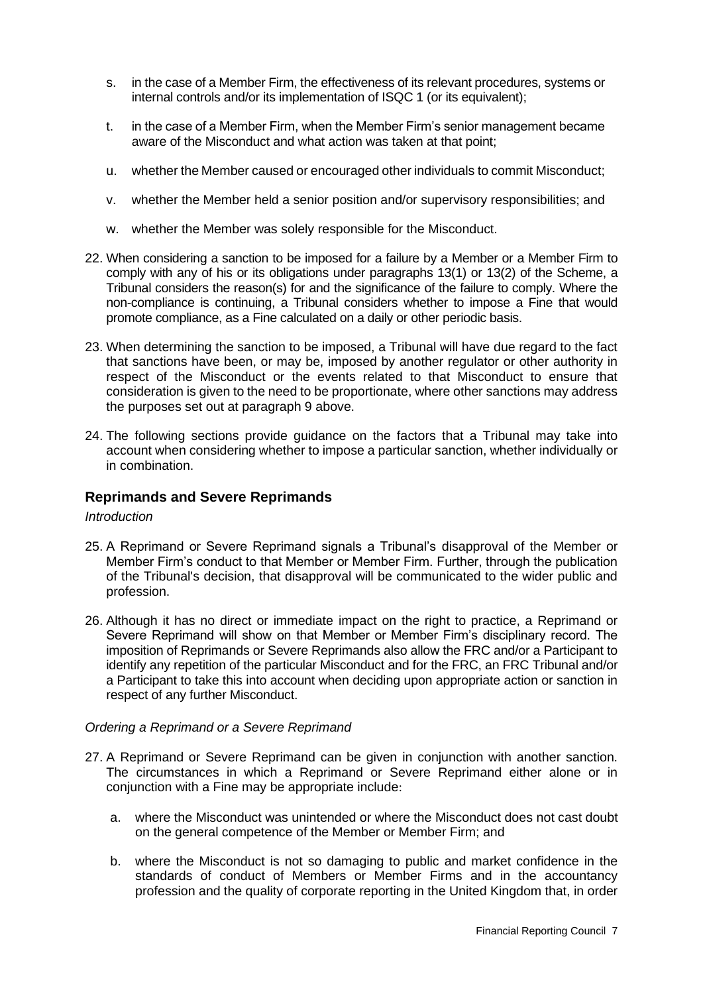- s. in the case of a Member Firm, the effectiveness of its relevant procedures, systems or internal controls and/or its implementation of ISQC 1 (or its equivalent);
- t. in the case of a Member Firm, when the Member Firm's senior management became aware of the Misconduct and what action was taken at that point;
- u. whether the Member caused or encouraged other individuals to commit Misconduct;
- v. whether the Member held a senior position and/or supervisory responsibilities; and
- w. whether the Member was solely responsible for the Misconduct.
- 22. When considering a sanction to be imposed for a failure by a Member or a Member Firm to comply with any of his or its obligations under paragraphs 13(1) or 13(2) of the Scheme, a Tribunal considers the reason(s) for and the significance of the failure to comply. Where the non-compliance is continuing, a Tribunal considers whether to impose a Fine that would promote compliance, as a Fine calculated on a daily or other periodic basis.
- 23. When determining the sanction to be imposed, a Tribunal will have due regard to the fact that sanctions have been, or may be, imposed by another regulator or other authority in respect of the Misconduct or the events related to that Misconduct to ensure that consideration is given to the need to be proportionate, where other sanctions may address the purposes set out at paragraph 9 above.
- 24. The following sections provide guidance on the factors that a Tribunal may take into account when considering whether to impose a particular sanction, whether individually or in combination.

## **Reprimands and Severe Reprimands**

#### *Introduction*

- 25. A Reprimand or Severe Reprimand signals a Tribunal's disapproval of the Member or Member Firm's conduct to that Member or Member Firm. Further, through the publication of the Tribunal's decision, that disapproval will be communicated to the wider public and profession.
- 26. Although it has no direct or immediate impact on the right to practice, a Reprimand or Severe Reprimand will show on that Member or Member Firm's disciplinary record. The imposition of Reprimands or Severe Reprimands also allow the FRC and/or a Participant to identify any repetition of the particular Misconduct and for the FRC, an FRC Tribunal and/or a Participant to take this into account when deciding upon appropriate action or sanction in respect of any further Misconduct.

#### *Ordering a Reprimand or a Severe Reprimand*

- 27. A Reprimand or Severe Reprimand can be given in conjunction with another sanction. The circumstances in which a Reprimand or Severe Reprimand either alone or in conjunction with a Fine may be appropriate include:
	- a. where the Misconduct was unintended or where the Misconduct does not cast doubt on the general competence of the Member or Member Firm; and
	- b. where the Misconduct is not so damaging to public and market confidence in the standards of conduct of Members or Member Firms and in the accountancy profession and the quality of corporate reporting in the United Kingdom that, in order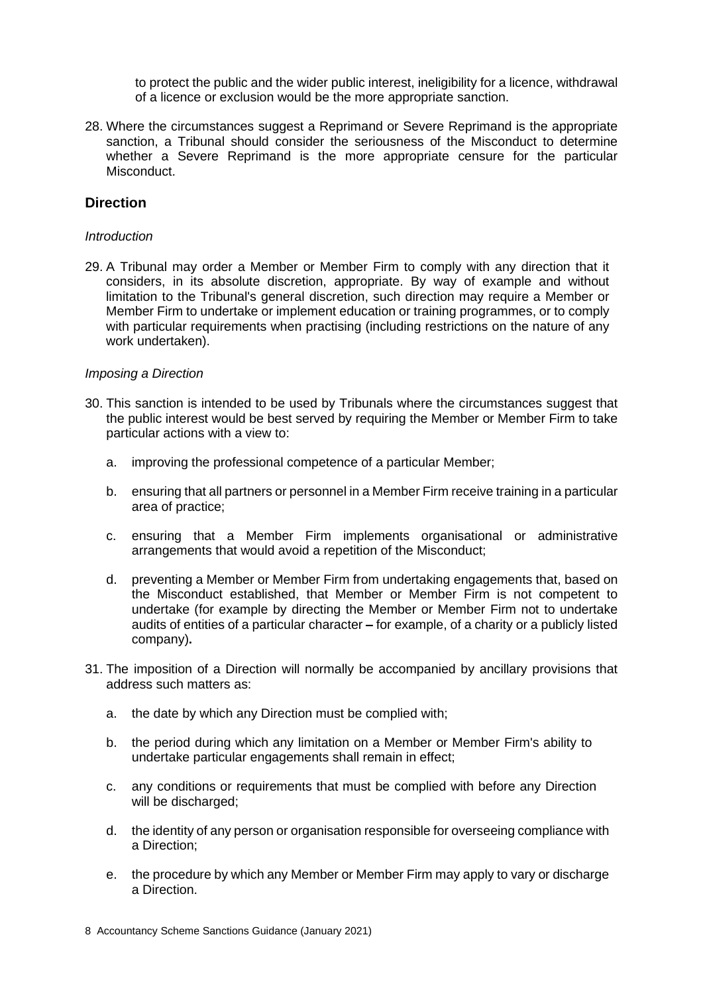to protect the public and the wider public interest, ineligibility for a licence, withdrawal of a licence or exclusion would be the more appropriate sanction.

28. Where the circumstances suggest a Reprimand or Severe Reprimand is the appropriate sanction, a Tribunal should consider the seriousness of the Misconduct to determine whether a Severe Reprimand is the more appropriate censure for the particular Misconduct.

## **Direction**

#### *Introduction*

29. A Tribunal may order a Member or Member Firm to comply with any direction that it considers, in its absolute discretion, appropriate. By way of example and without limitation to the Tribunal's general discretion, such direction may require a Member or Member Firm to undertake or implement education or training programmes, or to comply with particular requirements when practising (including restrictions on the nature of any work undertaken).

#### *Imposing a Direction*

- 30. This sanction is intended to be used by Tribunals where the circumstances suggest that the public interest would be best served by requiring the Member or Member Firm to take particular actions with a view to:
	- a. improving the professional competence of a particular Member;
	- b. ensuring that all partners or personnel in a Member Firm receive training in a particular area of practice;
	- c. ensuring that a Member Firm implements organisational or administrative arrangements that would avoid a repetition of the Misconduct;
	- d. preventing a Member or Member Firm from undertaking engagements that, based on the Misconduct established, that Member or Member Firm is not competent to undertake (for example by directing the Member or Member Firm not to undertake audits of entities of a particular character **–** for example, of a charity or a publicly listed company)**.**
- 31. The imposition of a Direction will normally be accompanied by ancillary provisions that address such matters as:
	- a. the date by which any Direction must be complied with;
	- b. the period during which any limitation on a Member or Member Firm's ability to undertake particular engagements shall remain in effect;
	- c. any conditions or requirements that must be complied with before any Direction will be discharged;
	- d. the identity of any person or organisation responsible for overseeing compliance with a Direction;
	- e. the procedure by which any Member or Member Firm may apply to vary or discharge a Direction.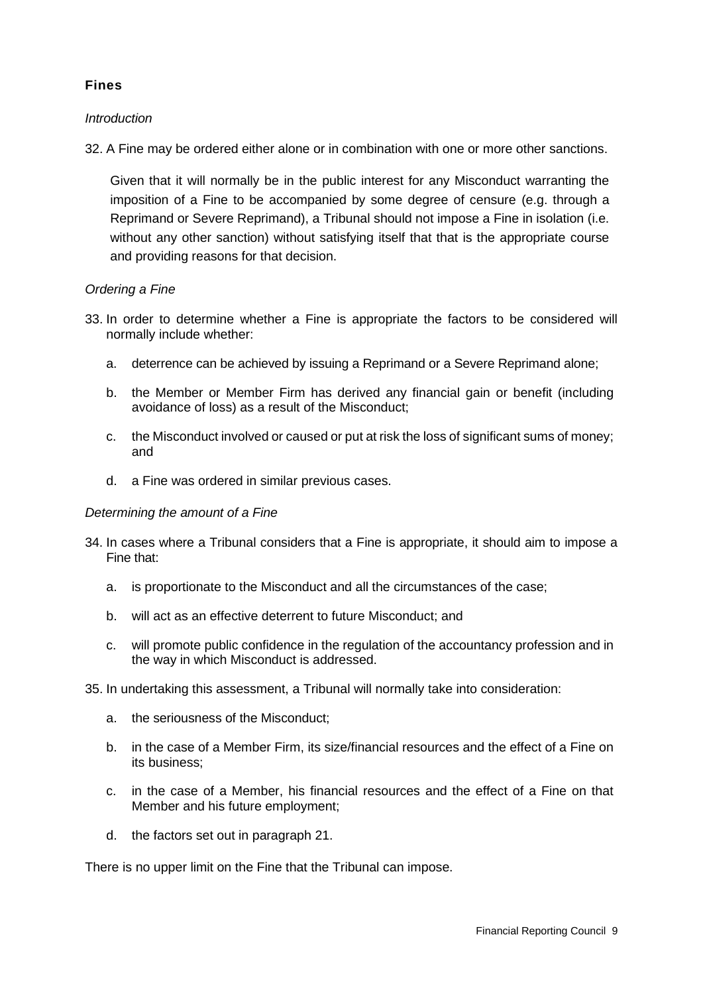# **Fines**

## *Introduction*

32. A Fine may be ordered either alone or in combination with one or more other sanctions.

Given that it will normally be in the public interest for any Misconduct warranting the imposition of a Fine to be accompanied by some degree of censure (e.g. through a Reprimand or Severe Reprimand), a Tribunal should not impose a Fine in isolation (i.e. without any other sanction) without satisfying itself that that is the appropriate course and providing reasons for that decision.

## *Ordering a Fine*

- 33. In order to determine whether a Fine is appropriate the factors to be considered will normally include whether:
	- a. deterrence can be achieved by issuing a Reprimand or a Severe Reprimand alone;
	- b. the Member or Member Firm has derived any financial gain or benefit (including avoidance of loss) as a result of the Misconduct;
	- c. the Misconduct involved or caused or put at risk the loss of significant sums of money; and
	- d. a Fine was ordered in similar previous cases.

## *Determining the amount of a Fine*

- 34. In cases where a Tribunal considers that a Fine is appropriate, it should aim to impose a Fine that:
	- a. is proportionate to the Misconduct and all the circumstances of the case;
	- b. will act as an effective deterrent to future Misconduct; and
	- c. will promote public confidence in the regulation of the accountancy profession and in the way in which Misconduct is addressed.
- 35. In undertaking this assessment, a Tribunal will normally take into consideration:
	- a. the seriousness of the Misconduct;
	- b. in the case of a Member Firm, its size/financial resources and the effect of a Fine on its business;
	- c. in the case of a Member, his financial resources and the effect of a Fine on that Member and his future employment;
	- d. the factors set out in paragraph 21.

There is no upper limit on the Fine that the Tribunal can impose.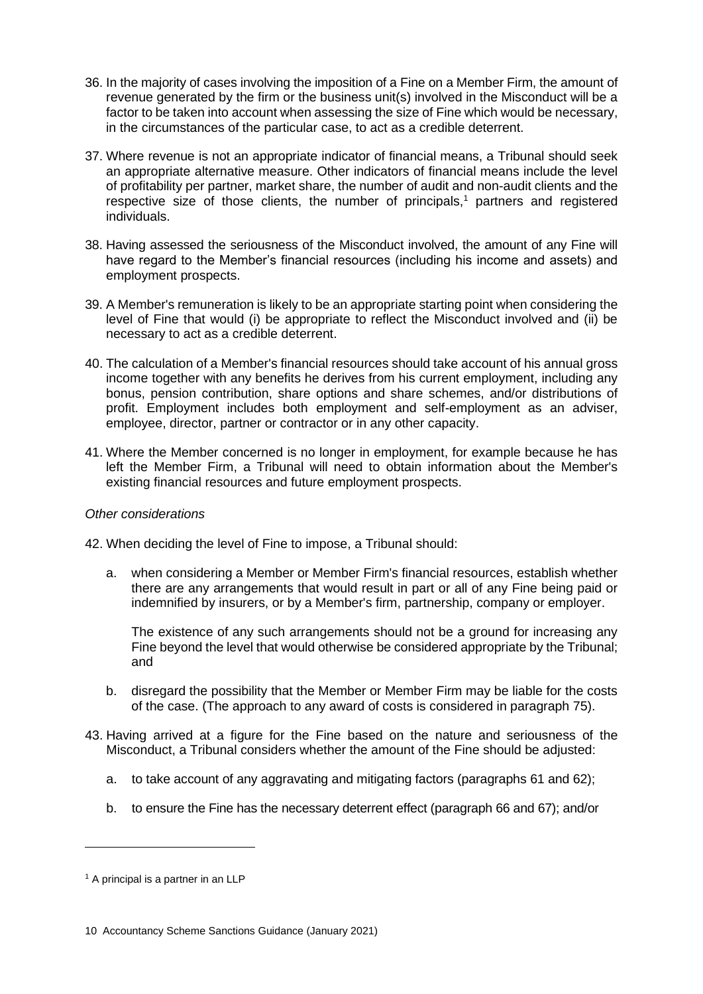- 36. In the majority of cases involving the imposition of a Fine on a Member Firm, the amount of revenue generated by the firm or the business unit(s) involved in the Misconduct will be a factor to be taken into account when assessing the size of Fine which would be necessary, in the circumstances of the particular case, to act as a credible deterrent.
- 37. Where revenue is not an appropriate indicator of financial means, a Tribunal should seek an appropriate alternative measure. Other indicators of financial means include the level of profitability per partner, market share, the number of audit and non-audit clients and the respective size of those clients, the number of principals,<sup>1</sup> partners and registered individuals.
- 38. Having assessed the seriousness of the Misconduct involved, the amount of any Fine will have regard to the Member's financial resources (including his income and assets) and employment prospects.
- 39. A Member's remuneration is likely to be an appropriate starting point when considering the level of Fine that would (i) be appropriate to reflect the Misconduct involved and (ii) be necessary to act as a credible deterrent.
- 40. The calculation of a Member's financial resources should take account of his annual gross income together with any benefits he derives from his current employment, including any bonus, pension contribution, share options and share schemes, and/or distributions of profit. Employment includes both employment and self-employment as an adviser, employee, director, partner or contractor or in any other capacity.
- 41. Where the Member concerned is no longer in employment, for example because he has left the Member Firm, a Tribunal will need to obtain information about the Member's existing financial resources and future employment prospects.

## *Other considerations*

42. When deciding the level of Fine to impose, a Tribunal should:

a. when considering a Member or Member Firm's financial resources, establish whether there are any arrangements that would result in part or all of any Fine being paid or indemnified by insurers, or by a Member's firm, partnership, company or employer.

The existence of any such arrangements should not be a ground for increasing any Fine beyond the level that would otherwise be considered appropriate by the Tribunal; and

- b. disregard the possibility that the Member or Member Firm may be liable for the costs of the case. (The approach to any award of costs is considered in paragraph 75).
- 43. Having arrived at a figure for the Fine based on the nature and seriousness of the Misconduct, a Tribunal considers whether the amount of the Fine should be adjusted:
	- a. to take account of any aggravating and mitigating factors (paragraphs 61 and 62);
	- b. to ensure the Fine has the necessary deterrent effect (paragraph 66 and 67); and/or

<sup>&</sup>lt;sup>1</sup> A principal is a partner in an LLP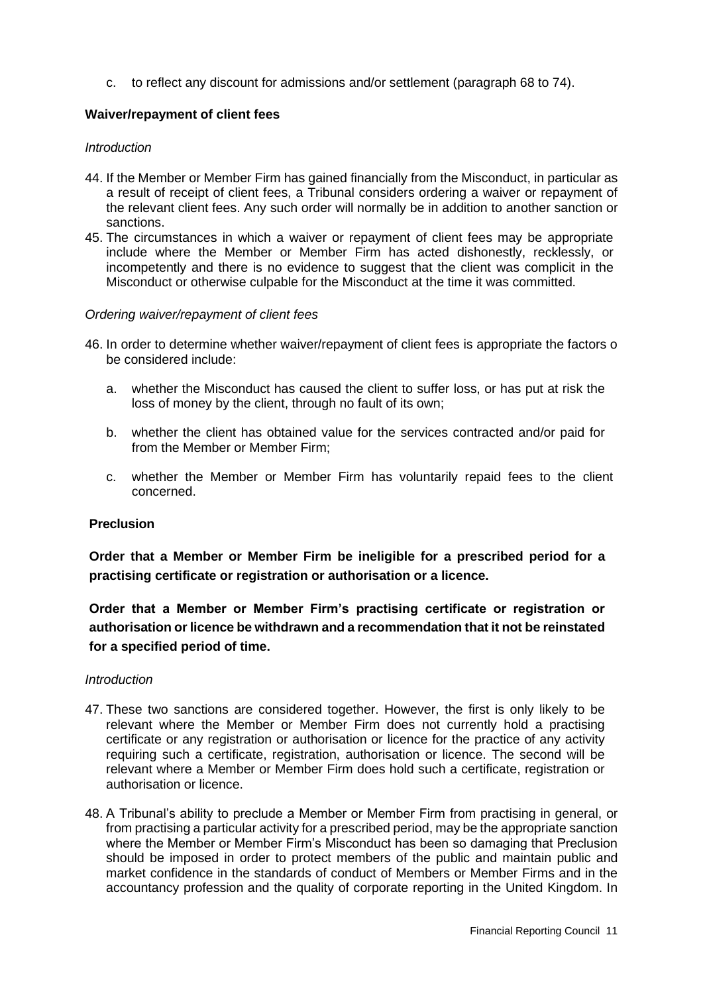c. to reflect any discount for admissions and/or settlement (paragraph 68 to 74).

## **Waiver/repayment of client fees**

#### *Introduction*

- 44. If the Member or Member Firm has gained financially from the Misconduct, in particular as a result of receipt of client fees, a Tribunal considers ordering a waiver or repayment of the relevant client fees. Any such order will normally be in addition to another sanction or sanctions.
- 45. The circumstances in which a waiver or repayment of client fees may be appropriate include where the Member or Member Firm has acted dishonestly, recklessly, or incompetently and there is no evidence to suggest that the client was complicit in the Misconduct or otherwise culpable for the Misconduct at the time it was committed.

#### *Ordering waiver/repayment of client fees*

- 46. In order to determine whether waiver/repayment of client fees is appropriate the factors o be considered include:
	- a. whether the Misconduct has caused the client to suffer loss, or has put at risk the loss of money by the client, through no fault of its own;
	- b. whether the client has obtained value for the services contracted and/or paid for from the Member or Member Firm;
	- c. whether the Member or Member Firm has voluntarily repaid fees to the client concerned.

#### **Preclusion**

**Order that a Member or Member Firm be ineligible for a prescribed period for a practising certificate or registration or authorisation or a licence.**

**Order that a Member or Member Firm's practising certificate or registration or authorisation or licence be withdrawn and a recommendation that it not be reinstated for a specified period of time.**

#### *Introduction*

- 47. These two sanctions are considered together. However, the first is only likely to be relevant where the Member or Member Firm does not currently hold a practising certificate or any registration or authorisation or licence for the practice of any activity requiring such a certificate, registration, authorisation or licence. The second will be relevant where a Member or Member Firm does hold such a certificate, registration or authorisation or licence.
- 48. A Tribunal's ability to preclude a Member or Member Firm from practising in general, or from practising a particular activity for a prescribed period, may be the appropriate sanction where the Member or Member Firm's Misconduct has been so damaging that Preclusion should be imposed in order to protect members of the public and maintain public and market confidence in the standards of conduct of Members or Member Firms and in the accountancy profession and the quality of corporate reporting in the United Kingdom. In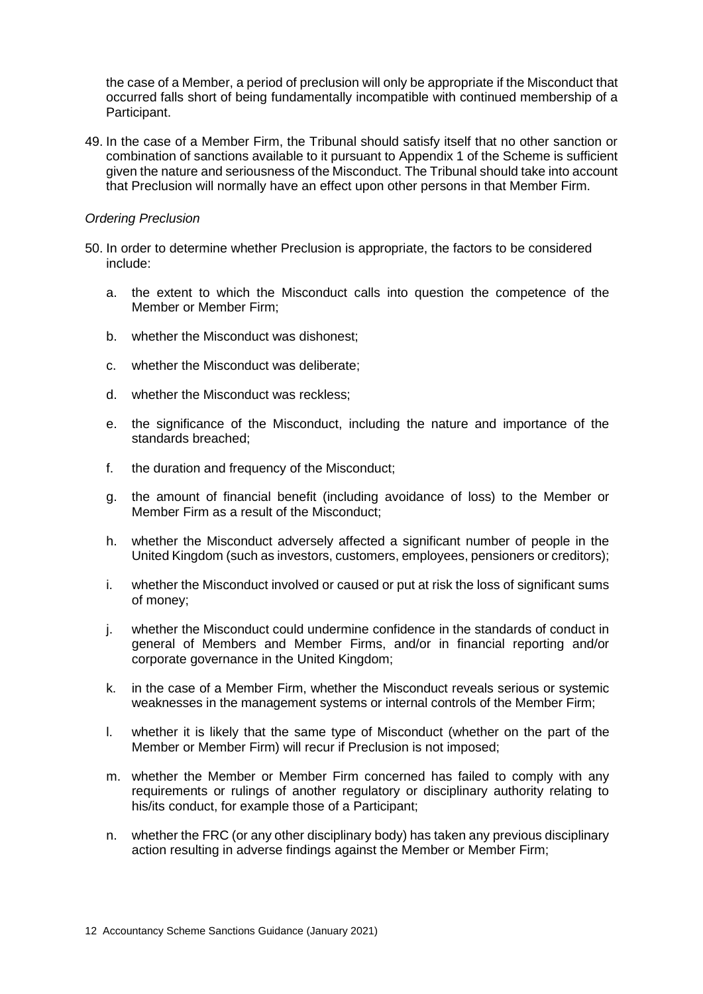the case of a Member, a period of preclusion will only be appropriate if the Misconduct that occurred falls short of being fundamentally incompatible with continued membership of a Participant.

49. In the case of a Member Firm, the Tribunal should satisfy itself that no other sanction or combination of sanctions available to it pursuant to Appendix 1 of the Scheme is sufficient given the nature and seriousness of the Misconduct. The Tribunal should take into account that Preclusion will normally have an effect upon other persons in that Member Firm.

#### *Ordering Preclusion*

- 50. In order to determine whether Preclusion is appropriate, the factors to be considered include:
	- a. the extent to which the Misconduct calls into question the competence of the Member or Member Firm;
	- b. whether the Misconduct was dishonest;
	- c. whether the Misconduct was deliberate;
	- d. whether the Misconduct was reckless;
	- e. the significance of the Misconduct, including the nature and importance of the standards breached;
	- f. the duration and frequency of the Misconduct;
	- g. the amount of financial benefit (including avoidance of loss) to the Member or Member Firm as a result of the Misconduct;
	- h. whether the Misconduct adversely affected a significant number of people in the United Kingdom (such as investors, customers, employees, pensioners or creditors);
	- i. whether the Misconduct involved or caused or put at risk the loss of significant sums of money;
	- j. whether the Misconduct could undermine confidence in the standards of conduct in general of Members and Member Firms, and/or in financial reporting and/or corporate governance in the United Kingdom;
	- k. in the case of a Member Firm, whether the Misconduct reveals serious or systemic weaknesses in the management systems or internal controls of the Member Firm;
	- l. whether it is likely that the same type of Misconduct (whether on the part of the Member or Member Firm) will recur if Preclusion is not imposed;
	- m. whether the Member or Member Firm concerned has failed to comply with any requirements or rulings of another regulatory or disciplinary authority relating to his/its conduct, for example those of a Participant;
	- n. whether the FRC (or any other disciplinary body) has taken any previous disciplinary action resulting in adverse findings against the Member or Member Firm;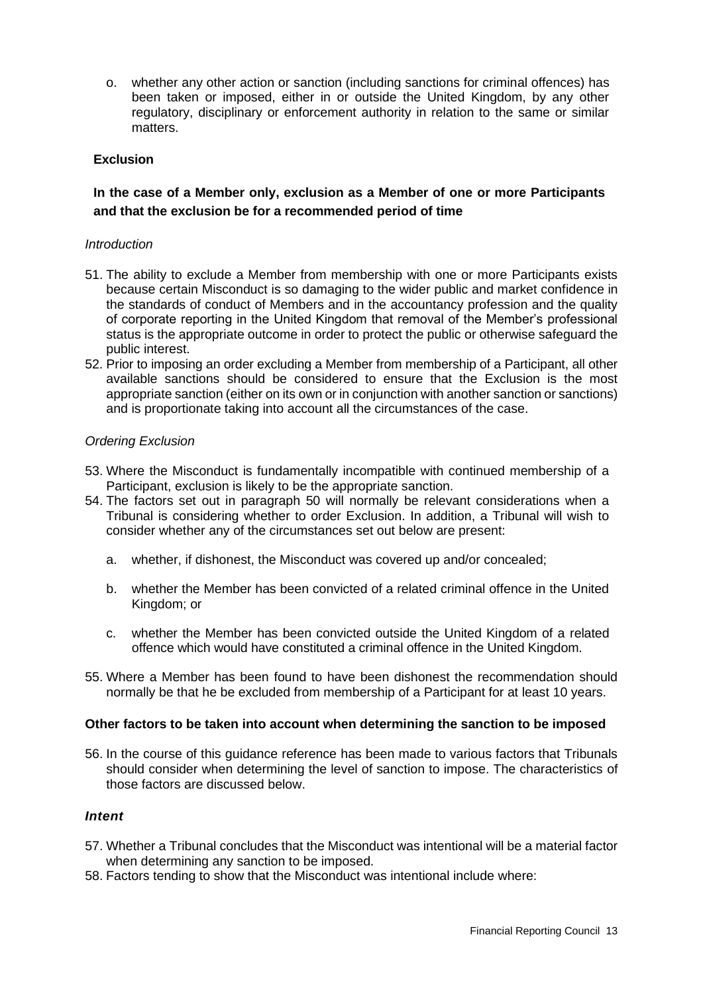o. whether any other action or sanction (including sanctions for criminal offences) has been taken or imposed, either in or outside the United Kingdom, by any other regulatory, disciplinary or enforcement authority in relation to the same or similar matters.

## **Exclusion**

# **In the case of a Member only, exclusion as a Member of one or more Participants and that the exclusion be for a recommended period of time**

#### *Introduction*

- 51. The ability to exclude a Member from membership with one or more Participants exists because certain Misconduct is so damaging to the wider public and market confidence in the standards of conduct of Members and in the accountancy profession and the quality of corporate reporting in the United Kingdom that removal of the Member's professional status is the appropriate outcome in order to protect the public or otherwise safeguard the public interest.
- 52. Prior to imposing an order excluding a Member from membership of a Participant, all other available sanctions should be considered to ensure that the Exclusion is the most appropriate sanction (either on its own or in conjunction with another sanction or sanctions) and is proportionate taking into account all the circumstances of the case.

#### *Ordering Exclusion*

- 53. Where the Misconduct is fundamentally incompatible with continued membership of a Participant, exclusion is likely to be the appropriate sanction.
- 54. The factors set out in paragraph 50 will normally be relevant considerations when a Tribunal is considering whether to order Exclusion. In addition, a Tribunal will wish to consider whether any of the circumstances set out below are present:
	- a. whether, if dishonest, the Misconduct was covered up and/or concealed;
	- b. whether the Member has been convicted of a related criminal offence in the United Kingdom; or
	- c. whether the Member has been convicted outside the United Kingdom of a related offence which would have constituted a criminal offence in the United Kingdom.
- 55. Where a Member has been found to have been dishonest the recommendation should normally be that he be excluded from membership of a Participant for at least 10 years.

#### **Other factors to be taken into account when determining the sanction to be imposed**

56. In the course of this guidance reference has been made to various factors that Tribunals should consider when determining the level of sanction to impose. The characteristics of those factors are discussed below.

## *Intent*

- 57. Whether a Tribunal concludes that the Misconduct was intentional will be a material factor when determining any sanction to be imposed.
- 58. Factors tending to show that the Misconduct was intentional include where: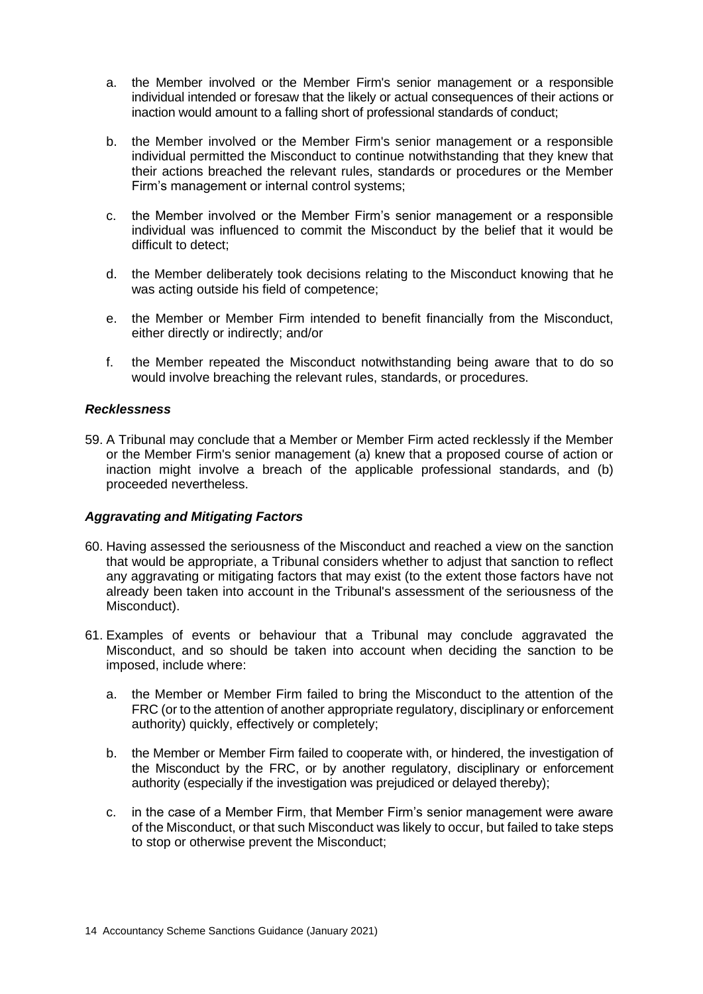- a. the Member involved or the Member Firm's senior management or a responsible individual intended or foresaw that the likely or actual consequences of their actions or inaction would amount to a falling short of professional standards of conduct;
- b. the Member involved or the Member Firm's senior management or a responsible individual permitted the Misconduct to continue notwithstanding that they knew that their actions breached the relevant rules, standards or procedures or the Member Firm's management or internal control systems;
- c. the Member involved or the Member Firm's senior management or a responsible individual was influenced to commit the Misconduct by the belief that it would be difficult to detect;
- d. the Member deliberately took decisions relating to the Misconduct knowing that he was acting outside his field of competence;
- e. the Member or Member Firm intended to benefit financially from the Misconduct, either directly or indirectly; and/or
- f. the Member repeated the Misconduct notwithstanding being aware that to do so would involve breaching the relevant rules, standards, or procedures.

#### *Recklessness*

59. A Tribunal may conclude that a Member or Member Firm acted recklessly if the Member or the Member Firm's senior management (a) knew that a proposed course of action or inaction might involve a breach of the applicable professional standards, and (b) proceeded nevertheless.

#### *Aggravating and Mitigating Factors*

- 60. Having assessed the seriousness of the Misconduct and reached a view on the sanction that would be appropriate, a Tribunal considers whether to adjust that sanction to reflect any aggravating or mitigating factors that may exist (to the extent those factors have not already been taken into account in the Tribunal's assessment of the seriousness of the Misconduct).
- 61. Examples of events or behaviour that a Tribunal may conclude aggravated the Misconduct, and so should be taken into account when deciding the sanction to be imposed, include where:
	- a. the Member or Member Firm failed to bring the Misconduct to the attention of the FRC (or to the attention of another appropriate regulatory, disciplinary or enforcement authority) quickly, effectively or completely;
	- b. the Member or Member Firm failed to cooperate with, or hindered, the investigation of the Misconduct by the FRC, or by another regulatory, disciplinary or enforcement authority (especially if the investigation was prejudiced or delayed thereby);
	- c. in the case of a Member Firm, that Member Firm's senior management were aware of the Misconduct, or that such Misconduct was likely to occur, but failed to take steps to stop or otherwise prevent the Misconduct;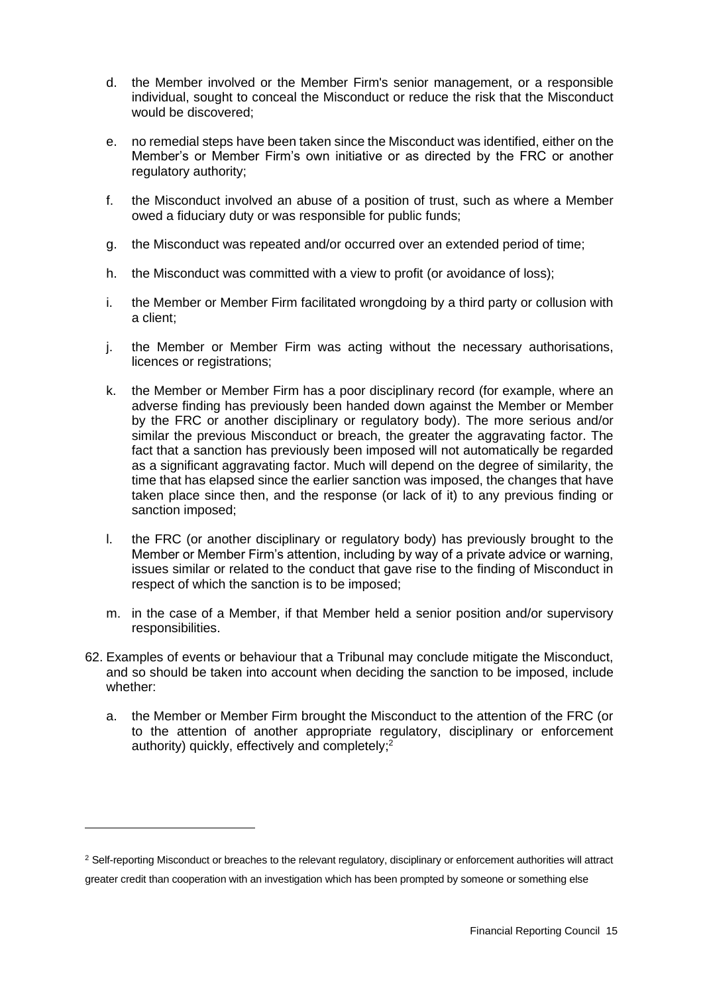- d. the Member involved or the Member Firm's senior management, or a responsible individual, sought to conceal the Misconduct or reduce the risk that the Misconduct would be discovered;
- e. no remedial steps have been taken since the Misconduct was identified, either on the Member's or Member Firm's own initiative or as directed by the FRC or another regulatory authority;
- f. the Misconduct involved an abuse of a position of trust, such as where a Member owed a fiduciary duty or was responsible for public funds;
- g. the Misconduct was repeated and/or occurred over an extended period of time;
- h. the Misconduct was committed with a view to profit (or avoidance of loss);
- i. the Member or Member Firm facilitated wrongdoing by a third party or collusion with a client;
- j. the Member or Member Firm was acting without the necessary authorisations, licences or registrations;
- k. the Member or Member Firm has a poor disciplinary record (for example, where an adverse finding has previously been handed down against the Member or Member by the FRC or another disciplinary or regulatory body). The more serious and/or similar the previous Misconduct or breach, the greater the aggravating factor. The fact that a sanction has previously been imposed will not automatically be regarded as a significant aggravating factor. Much will depend on the degree of similarity, the time that has elapsed since the earlier sanction was imposed, the changes that have taken place since then, and the response (or lack of it) to any previous finding or sanction imposed;
- l. the FRC (or another disciplinary or regulatory body) has previously brought to the Member or Member Firm's attention, including by way of a private advice or warning, issues similar or related to the conduct that gave rise to the finding of Misconduct in respect of which the sanction is to be imposed;
- m. in the case of a Member, if that Member held a senior position and/or supervisory responsibilities.
- 62. Examples of events or behaviour that a Tribunal may conclude mitigate the Misconduct, and so should be taken into account when deciding the sanction to be imposed, include whether:
	- a. the Member or Member Firm brought the Misconduct to the attention of the FRC (or to the attention of another appropriate regulatory, disciplinary or enforcement authority) quickly, effectively and completely;<sup>2</sup>

<sup>&</sup>lt;sup>2</sup> Self-reporting Misconduct or breaches to the relevant regulatory, disciplinary or enforcement authorities will attract greater credit than cooperation with an investigation which has been prompted by someone or something else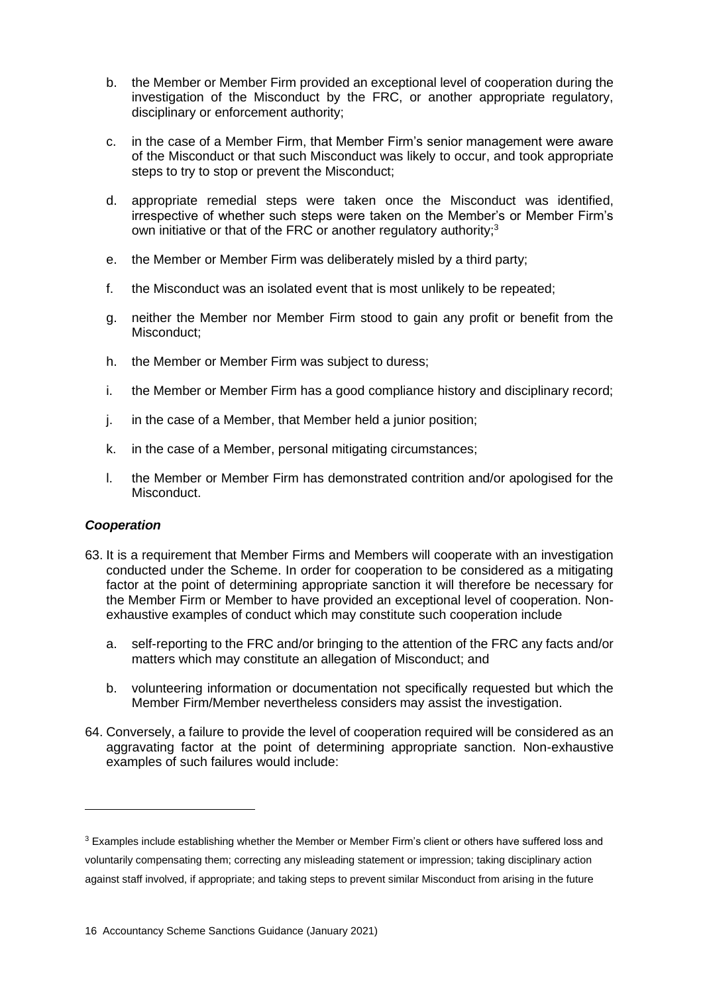- b. the Member or Member Firm provided an exceptional level of cooperation during the investigation of the Misconduct by the FRC, or another appropriate regulatory, disciplinary or enforcement authority;
- c. in the case of a Member Firm, that Member Firm's senior management were aware of the Misconduct or that such Misconduct was likely to occur, and took appropriate steps to try to stop or prevent the Misconduct;
- d. appropriate remedial steps were taken once the Misconduct was identified, irrespective of whether such steps were taken on the Member's or Member Firm's own initiative or that of the FRC or another regulatory authority;<sup>3</sup>
- e. the Member or Member Firm was deliberately misled by a third party;
- f. the Misconduct was an isolated event that is most unlikely to be repeated;
- g. neither the Member nor Member Firm stood to gain any profit or benefit from the Misconduct;
- h. the Member or Member Firm was subject to duress;
- i. the Member or Member Firm has a good compliance history and disciplinary record;
- j. in the case of a Member, that Member held a junior position;
- k. in the case of a Member, personal mitigating circumstances;
- l. the Member or Member Firm has demonstrated contrition and/or apologised for the Misconduct.

## *Cooperation*

- 63. It is a requirement that Member Firms and Members will cooperate with an investigation conducted under the Scheme. In order for cooperation to be considered as a mitigating factor at the point of determining appropriate sanction it will therefore be necessary for the Member Firm or Member to have provided an exceptional level of cooperation. Nonexhaustive examples of conduct which may constitute such cooperation include
	- a. self-reporting to the FRC and/or bringing to the attention of the FRC any facts and/or matters which may constitute an allegation of Misconduct; and
	- b. volunteering information or documentation not specifically requested but which the Member Firm/Member nevertheless considers may assist the investigation.
- 64. Conversely, a failure to provide the level of cooperation required will be considered as an aggravating factor at the point of determining appropriate sanction. Non-exhaustive examples of such failures would include:

<sup>&</sup>lt;sup>3</sup> Examples include establishing whether the Member or Member Firm's client or others have suffered loss and voluntarily compensating them; correcting any misleading statement or impression; taking disciplinary action against staff involved, if appropriate; and taking steps to prevent similar Misconduct from arising in the future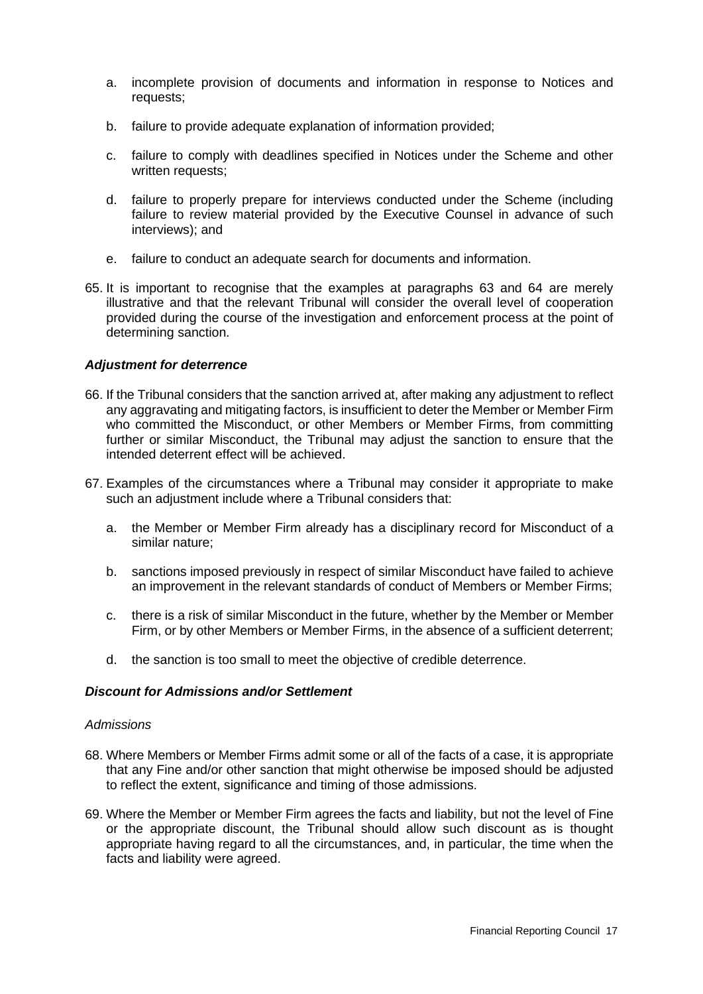- a. incomplete provision of documents and information in response to Notices and requests;
- b. failure to provide adequate explanation of information provided;
- c. failure to comply with deadlines specified in Notices under the Scheme and other written requests;
- d. failure to properly prepare for interviews conducted under the Scheme (including failure to review material provided by the Executive Counsel in advance of such interviews); and
- e. failure to conduct an adequate search for documents and information.
- 65. It is important to recognise that the examples at paragraphs 63 and 64 are merely illustrative and that the relevant Tribunal will consider the overall level of cooperation provided during the course of the investigation and enforcement process at the point of determining sanction.

#### *Adjustment for deterrence*

- 66. If the Tribunal considers that the sanction arrived at, after making any adjustment to reflect any aggravating and mitigating factors, is insufficient to deter the Member or Member Firm who committed the Misconduct, or other Members or Member Firms, from committing further or similar Misconduct, the Tribunal may adjust the sanction to ensure that the intended deterrent effect will be achieved.
- 67. Examples of the circumstances where a Tribunal may consider it appropriate to make such an adjustment include where a Tribunal considers that:
	- a. the Member or Member Firm already has a disciplinary record for Misconduct of a similar nature;
	- b. sanctions imposed previously in respect of similar Misconduct have failed to achieve an improvement in the relevant standards of conduct of Members or Member Firms;
	- c. there is a risk of similar Misconduct in the future, whether by the Member or Member Firm, or by other Members or Member Firms, in the absence of a sufficient deterrent;
	- d. the sanction is too small to meet the objective of credible deterrence.

#### *Discount for Admissions and/or Settlement*

#### *Admissions*

- 68. Where Members or Member Firms admit some or all of the facts of a case, it is appropriate that any Fine and/or other sanction that might otherwise be imposed should be adjusted to reflect the extent, significance and timing of those admissions.
- 69. Where the Member or Member Firm agrees the facts and liability, but not the level of Fine or the appropriate discount, the Tribunal should allow such discount as is thought appropriate having regard to all the circumstances, and, in particular, the time when the facts and liability were agreed.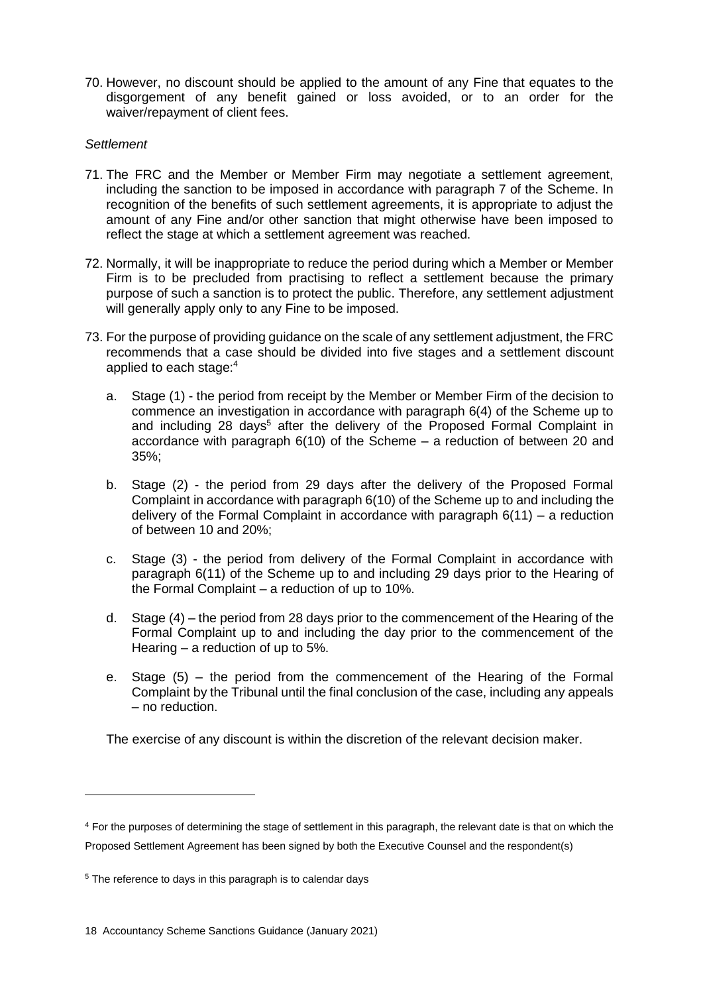70. However, no discount should be applied to the amount of any Fine that equates to the disgorgement of any benefit gained or loss avoided, or to an order for the waiver/repayment of client fees.

#### *Settlement*

- 71. The FRC and the Member or Member Firm may negotiate a settlement agreement, including the sanction to be imposed in accordance with paragraph 7 of the Scheme. In recognition of the benefits of such settlement agreements, it is appropriate to adjust the amount of any Fine and/or other sanction that might otherwise have been imposed to reflect the stage at which a settlement agreement was reached.
- 72. Normally, it will be inappropriate to reduce the period during which a Member or Member Firm is to be precluded from practising to reflect a settlement because the primary purpose of such a sanction is to protect the public. Therefore, any settlement adjustment will generally apply only to any Fine to be imposed.
- 73. For the purpose of providing guidance on the scale of any settlement adjustment, the FRC recommends that a case should be divided into five stages and a settlement discount applied to each stage:<sup>4</sup>
	- a. Stage (1) the period from receipt by the Member or Member Firm of the decision to commence an investigation in accordance with paragraph 6(4) of the Scheme up to and including 28 days<sup>5</sup> after the delivery of the Proposed Formal Complaint in accordance with paragraph 6(10) of the Scheme – a reduction of between 20 and 35%;
	- b. Stage (2) the period from 29 days after the delivery of the Proposed Formal Complaint in accordance with paragraph 6(10) of the Scheme up to and including the delivery of the Formal Complaint in accordance with paragraph 6(11) – a reduction of between 10 and 20%;
	- c. Stage (3) the period from delivery of the Formal Complaint in accordance with paragraph 6(11) of the Scheme up to and including 29 days prior to the Hearing of the Formal Complaint – a reduction of up to 10%.
	- d. Stage (4) the period from 28 days prior to the commencement of the Hearing of the Formal Complaint up to and including the day prior to the commencement of the Hearing – a reduction of up to 5%.
	- e. Stage (5) the period from the commencement of the Hearing of the Formal Complaint by the Tribunal until the final conclusion of the case, including any appeals – no reduction.

The exercise of any discount is within the discretion of the relevant decision maker.

<sup>4</sup> For the purposes of determining the stage of settlement in this paragraph, the relevant date is that on which the Proposed Settlement Agreement has been signed by both the Executive Counsel and the respondent(s)

<sup>&</sup>lt;sup>5</sup> The reference to days in this paragraph is to calendar days